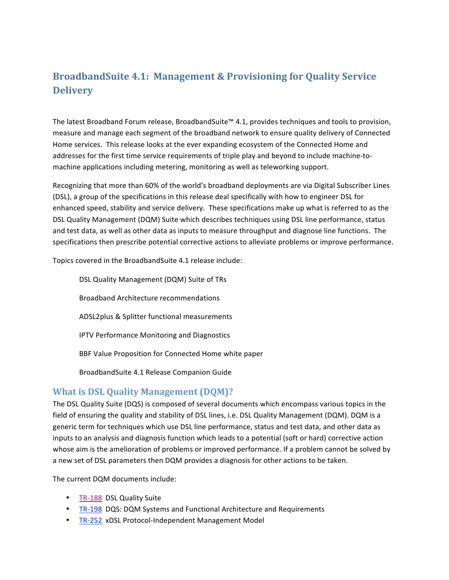# **BroadbandSuite 4.1: Management & Provisioning for Quality Service Delivery**

The latest Broadband Forum release, BroadbandSuite™ 4.1, provides techniques and tools to provision, measure and manage each segment of the broadband network to ensure quality delivery of Connected Home services. This release looks at the ever expanding ecosystem of the Connected Home and addresses for the first time service requirements of triple play and beyond to include machine-tomachine applications including metering, monitoring as well as teleworking support.

Recognizing that more than 60% of the world's broadband deployments are via Digital Subscriber Lines (DSL), a group of the specifications in this release deal specifically with how to engineer DSL for enhanced speed, stability and service delivery. These specifications make up what is referred to as the DSL Quality Management (DQM) Suite which describes techniques using DSL line performance, status and test data, as well as other data as inputs to measure throughput and diagnose line functions. The specifications then prescribe potential corrective actions to alleviate problems or improve performance.

Topics covered in the BroadbandSuite 4.1 release include:

DSL Quality Management (DQM) Suite of TRs Broadband Architecture recommendations ADSL2plus & Splitter functional measurements IPTV Performance Monitoring and Diagnostics BBF Value Proposition for Connected Home white paper BroadbandSuite 4.1 Release Companion Guide

# **What is DSL Quality Management (DQM)?**

The DSL Quality Suite (DQS) is composed of several documents which encompass various topics in the field of ensuring the quality and stability of DSL lines, i.e. DSL Quality Management (DQM). DQM is a generic term for techniques which use DSL line performance, status and test data, and other data as inputs to an analysis and diagnosis function which leads to a potential (soft or hard) corrective action whose aim is the amelioration of problems or improved performance. If a problem cannot be solved by a new set of DSL parameters then DQM provides a diagnosis for other actions to be taken.

The current DQM documents include:

- TR-188 DSL Quality Suite
- TR-198 DQS: DQM Systems and Functional Architecture and Requirements
- TR-252 xDSL Protocol-Independent Management Model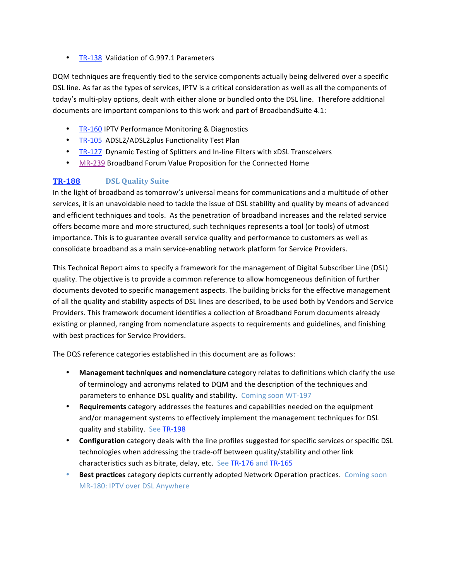• TR-138 Validation of G.997.1 Parameters

DQM techniques are frequently tied to the service components actually being delivered over a specific DSL line. As far as the types of services, IPTV is a critical consideration as well as all the components of today's multi‐play options, dealt with either alone or bundled onto the DSL line. Therefore additional documents are important companions to this work and part of BroadbandSuite 4.1:

- TR-160 IPTV Performance Monitoring & Diagnostics
- TR-105 ADSL2/ADSL2plus Functionality Test Plan
- TR-127 Dynamic Testing of Splitters and In-line Filters with xDSL Transceivers
- [MR‐239](http://www.broadband-forum.org/marketing/download/mktgdocs/MR-239.pdf) Broadband Forum Value Proposition for the Connected Home

## **[TR188](http://www.broadband-forum.org/technical/download/TR-188.pdf) DSL Quality Suite**

In the light of broadband as tomorrow's universal means for communications and a multitude of other services, it is an unavoidable need to tackle the issue of DSL stability and quality by means of advanced and efficient techniques and tools. As the penetration of broadband increases and the related service offers become more and more structured, such techniques represents a tool (or tools) of utmost importance. This is to guarantee overall service quality and performance to customers as well as consolidate broadband as a main service‐enabling network platform for Service Providers.

This Technical Report aims to specify a framework for the management of Digital Subscriber Line (DSL) quality. The objective is to provide a common reference to allow homogeneous definition of further documents devoted to specific management aspects. The building bricks for the effective management of all the quality and stability aspects of DSL lines are described, to be used both by Vendors and Service Providers. This framework document identifies a collection of Broadband Forum documents already existing or planned, ranging from nomenclature aspects to requirements and guidelines, and finishing with best practices for Service Providers.

The DQS reference categories established in this document are as follows:

- **Management techniques and nomenclature** category relates to definitions which clarify the use of terminology and acronyms related to DQM and the description of the techniques and parameters to enhance DSL quality and stability. Coming soon WT‐197
- **Requirements** category addresses the features and capabilities needed on the equipment and/or management systems to effectively implement the management techniques for DSL quality and stability. See [TR‐198](http://www.broadband-forum.org/technical/download/TR-198.pdf)
- **Configuration** category deals with the line profiles suggested for specific services or specific DSL technologies when addressing the trade‐off between quality/stability and other link characteristics such as bitrate, delay, etc. See TR-176 and TR-165
- **Best practices** category depicts currently adopted Network Operation practices. Coming soon MR‐180: IPTV over DSL Anywhere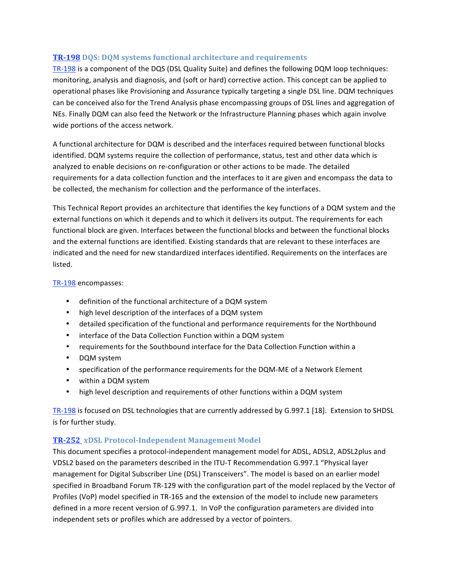### **[TR198](http://www.broadband-forum.org/technical/download/TR-198.pdf) DQS: DQM systems functional architecture and requirements**

TR-198 is a component of the DQS (DSL Quality Suite) and defines the following DQM loop techniques: monitoring, analysis and diagnosis, and (soft or hard) corrective action. This concept can be applied to operational phases like Provisioning and Assurance typically targeting a single DSL line. DQM techniques can be conceived also for the Trend Analysis phase encompassing groups of DSL lines and aggregation of NEs. Finally DQM can also feed the Network or the Infrastructure Planning phases which again involve wide portions of the access network.

A functional architecture for DQM is described and the interfaces required between functional blocks identified. DQM systems require the collection of performance, status, test and other data which is analyzed to enable decisions on re‐configuration or other actions to be made. The detailed requirements for a data collection function and the interfaces to it are given and encompass the data to be collected, the mechanism for collection and the performance of the interfaces.

This Technical Report provides an architecture that identifies the key functions of a DQM system and the external functions on which it depends and to which it delivers its output. The requirements for each functional block are given. Interfaces between the functional blocks and between the functional blocks and the external functions are identified. Existing standards that are relevant to these interfaces are indicated and the need for new standardized interfaces identified. Requirements on the interfaces are listed.

#### [TR‐198](http://www.broadband-forum.org/technical/download/TR-198.pdf) encompasses:

- definition of the functional architecture of a DQM system
- high level description of the interfaces of a DQM system
- detailed specification of the functional and performance requirements for the Northbound
- interface of the Data Collection Function within a DQM system
- requirements for the Southbound interface for the Data Collection Function within a
- DQM system
- specification of the performance requirements for the DQM-ME of a Network Element
- within a DQM system
- high level description and requirements of other functions within a DQM system

TR-198 is focused on DSL technologies that are currently addressed by G.997.1 [18]. Extension to SHDSL is for further study.

## **TR-252** xDSL Protocol-Independent Management Model

This document specifies a protocol-independent management model for ADSL, ADSL2, ADSL2plus and VDSL2 based on the parameters described in the ITU‐T Recommendation G.997.1 "Physical layer management for Digital Subscriber Line (DSL) Transceivers". The model is based on an earlier model specified in Broadband Forum TR‐129 with the configuration part of the model replaced by the Vector of Profiles (VoP) model specified in TR‐165 and the extension of the model to include new parameters defined in a more recent version of G.997.1. In VoP the configuration parameters are divided into independent sets or profiles which are addressed by a vector of pointers.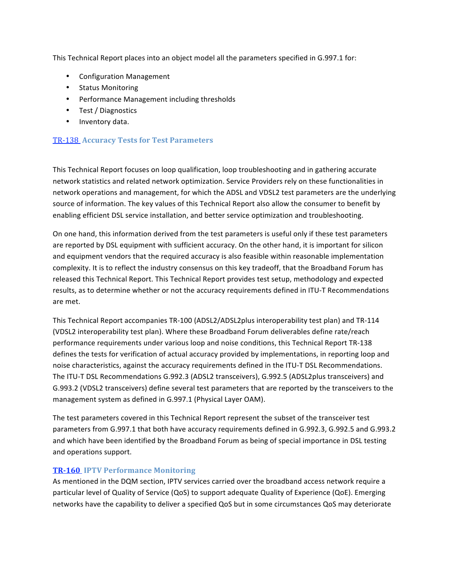This Technical Report places into an object model all the parameters specified in G.997.1 for:

- Configuration Management
- Status Monitoring
- Performance Management including thresholds
- Test / Diagnostics
- Inventory data.

#### [TR‐138](http://www.broadband-forum.org/technical/download/TR-138.pdf)  **Accuracy Tests for Test Parameters**

This Technical Report focuses on loop qualification, loop troubleshooting and in gathering accurate network statistics and related network optimization. Service Providers rely on these functionalities in network operations and management, for which the ADSL and VDSL2 test parameters are the underlying source of information. The key values of this Technical Report also allow the consumer to benefit by enabling efficient DSL service installation, and better service optimization and troubleshooting.

On one hand, this information derived from the test parameters is useful only if these test parameters are reported by DSL equipment with sufficient accuracy. On the other hand, it is important for silicon and equipment vendors that the required accuracy is also feasible within reasonable implementation complexity. It is to reflect the industry consensus on this key tradeoff, that the Broadband Forum has released this Technical Report. This Technical Report provides test setup, methodology and expected results, as to determine whether or not the accuracy requirements defined in ITU-T Recommendations are met.

This Technical Report accompanies TR‐100 (ADSL2/ADSL2plus interoperability test plan) and TR‐114 (VDSL2 interoperability test plan). Where these Broadband Forum deliverables define rate/reach performance requirements under various loop and noise conditions, this Technical Report TR‐138 defines the tests for verification of actual accuracy provided by implementations, in reporting loop and noise characteristics, against the accuracy requirements defined in the ITU-T DSL Recommendations. The ITU‐T DSL Recommendations G.992.3 (ADSL2 transceivers), G.992.5 (ADSL2plus transceivers) and G.993.2 (VDSL2 transceivers) define several test parameters that are reported by the transceivers to the management system as defined in G.997.1 (Physical Layer OAM).

The test parameters covered in this Technical Report represent the subset of the transceiver test parameters from G.997.1 that both have accuracy requirements defined in G.992.3, G.992.5 and G.993.2 and which have been identified by the Broadband Forum as being of special importance in DSL testing and operations support.

#### **[TR160](http://www.broadband-forum.org/technical/download/TR-160.pdf) IPTV Performance Monitoring**

As mentioned in the DQM section, IPTV services carried over the broadband access network require a particular level of Quality of Service (QoS) to support adequate Quality of Experience (QoE). Emerging networks have the capability to deliver a specified QoS but in some circumstances QoS may deteriorate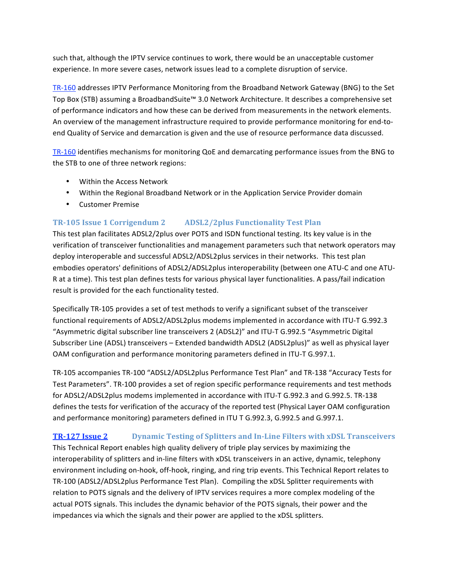such that, although the IPTV service continues to work, there would be an unacceptable customer experience. In more severe cases, network issues lead to a complete disruption of service.

TR-160 addresses IPTV Performance Monitoring from the Broadband Network Gateway (BNG) to the Set Top Box (STB) assuming a BroadbandSuite™ 3.0 Network Architecture. It describes a comprehensive set of performance indicators and how these can be derived from measurements in the network elements. An overview of the management infrastructure required to provide performance monitoring for end‐to‐ end Quality of Service and demarcation is given and the use of resource performance data discussed.

TR-160 identifies mechanisms for monitoring QoE and demarcating performance issues from the BNG to the STB to one of three network regions:

- Within the Access Network
- Within the Regional Broadband Network or in the Application Service Provider domain
- Customer Premise

## **[TR105 Issue 1 Corrigendum 2](http://www.broadband-forum.org/technical/download/TR-105_Corrigendum-2.pdf) ADSL2/2plus Functionality Test Plan**

This test plan facilitates ADSL2/2plus over POTS and ISDN functional testing. Its key value is in the verification of transceiver functionalities and management parameters such that network operators may deploy interoperable and successful ADSL2/ADSL2plus services in their networks. This test plan embodies operators' definitions of ADSL2/ADSL2plus interoperability (between one ATU-C and one ATU-R at a time). This test plan defines tests for various physical layer functionalities. A pass/fail indication result is provided for the each functionality tested.

Specifically TR‐105 provides a set of test methods to verify a significant subset of the transceiver functional requirements of ADSL2/ADSL2plus modems implemented in accordance with ITU‐T G.992.3 "Asymmetric digital subscriber line transceivers 2 (ADSL2)" and ITU‐T G.992.5 "Asymmetric Digital Subscriber Line (ADSL) transceivers – Extended bandwidth ADSL2 (ADSL2plus)" as well as physical layer OAM configuration and performance monitoring parameters defined in ITU-T G.997.1.

TR‐105 accompanies TR‐100 "ADSL2/ADSL2plus Performance Test Plan" and TR‐138 "Accuracy Tests for Test Parameters". TR‐100 provides a set of region specific performance requirements and test methods for ADSL2/ADSL2plus modems implemented in accordance with ITU‐T G.992.3 and G.992.5. TR‐138 defines the tests for verification of the accuracy of the reported test (Physical Layer OAM configuration and performance monitoring) parameters defined in ITU T G.992.3, G.992.5 and G.997.1.

## **[TR127 Issue 2](http://www.broadband-forum.org/technical/download/TR-127_Issue-2.pdf) Dynamic Testing of Splitters and InLine Filters with xDSL Transceivers**

This Technical Report enables high quality delivery of triple play services by maximizing the interoperability of splitters and in‐line filters with xDSL transceivers in an active, dynamic, telephony environment including on‐hook, off‐hook, ringing, and ring trip events. This Technical Report relates to TR-100 (ADSL2/ADSL2plus Performance Test Plan). Compiling the xDSL Splitter requirements with relation to POTS signals and the delivery of IPTV services requires a more complex modeling of the actual POTS signals. This includes the dynamic behavior of the POTS signals, their power and the impedances via which the signals and their power are applied to the xDSL splitters.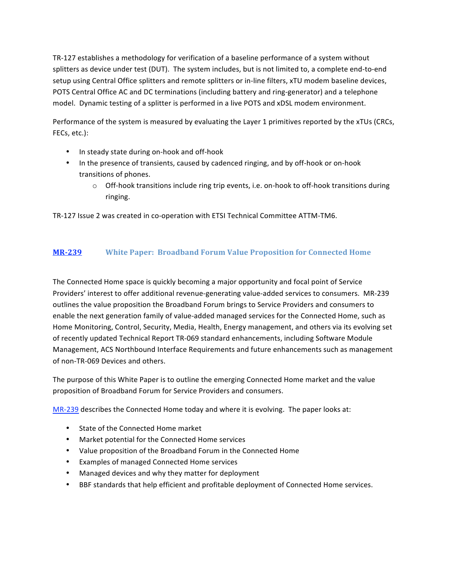TR‐127 establishes a methodology for verification of a baseline performance of a system without splitters as device under test (DUT). The system includes, but is not limited to, a complete end-to-end setup using Central Office splitters and remote splitters or in-line filters, xTU modem baseline devices, POTS Central Office AC and DC terminations (including battery and ring‐generator) and a telephone model. Dynamic testing of a splitter is performed in a live POTS and xDSL modem environment.

Performance of the system is measured by evaluating the Layer 1 primitives reported by the xTUs (CRCs, FECs, etc.):

- In steady state during on-hook and off-hook
- In the presence of transients, caused by cadenced ringing, and by off-hook or on-hook transitions of phones.
	- $\circ$  Off-hook transitions include ring trip events, i.e. on-hook to off-hook transitions during ringing.

TR-127 Issue 2 was created in co-operation with ETSI Technical Committee ATTM-TM6.

# **[MR239](http://www.broadband-forum.org/marketing/download/mktgdocs/MR-239.pdf) White Paper: Broadband Forum Value Proposition for Connected Home**

The Connected Home space is quickly becoming a major opportunity and focal point of Service Providers' interest to offer additional revenue‐generating value‐added services to consumers. MR‐239 outlines the value proposition the Broadband Forum brings to Service Providers and consumers to enable the next generation family of value‐added managed services for the Connected Home, such as Home Monitoring, Control, Security, Media, Health, Energy management, and others via its evolving set of recently updated Technical Report TR‐069 standard enhancements, including Software Module Management, ACS Northbound Interface Requirements and future enhancements such as management of non‐TR‐069 Devices and others.

The purpose of this White Paper is to outline the emerging Connected Home market and the value proposition of Broadband Forum for Service Providers and consumers.

MR-239 describes the Connected Home today and where it is evolving. The paper looks at:

- State of the Connected Home market
- Market potential for the Connected Home services
- Value proposition of the Broadband Forum in the Connected Home
- Examples of managed Connected Home services
- Managed devices and why they matter for deployment
- BBF standards that help efficient and profitable deployment of Connected Home services.